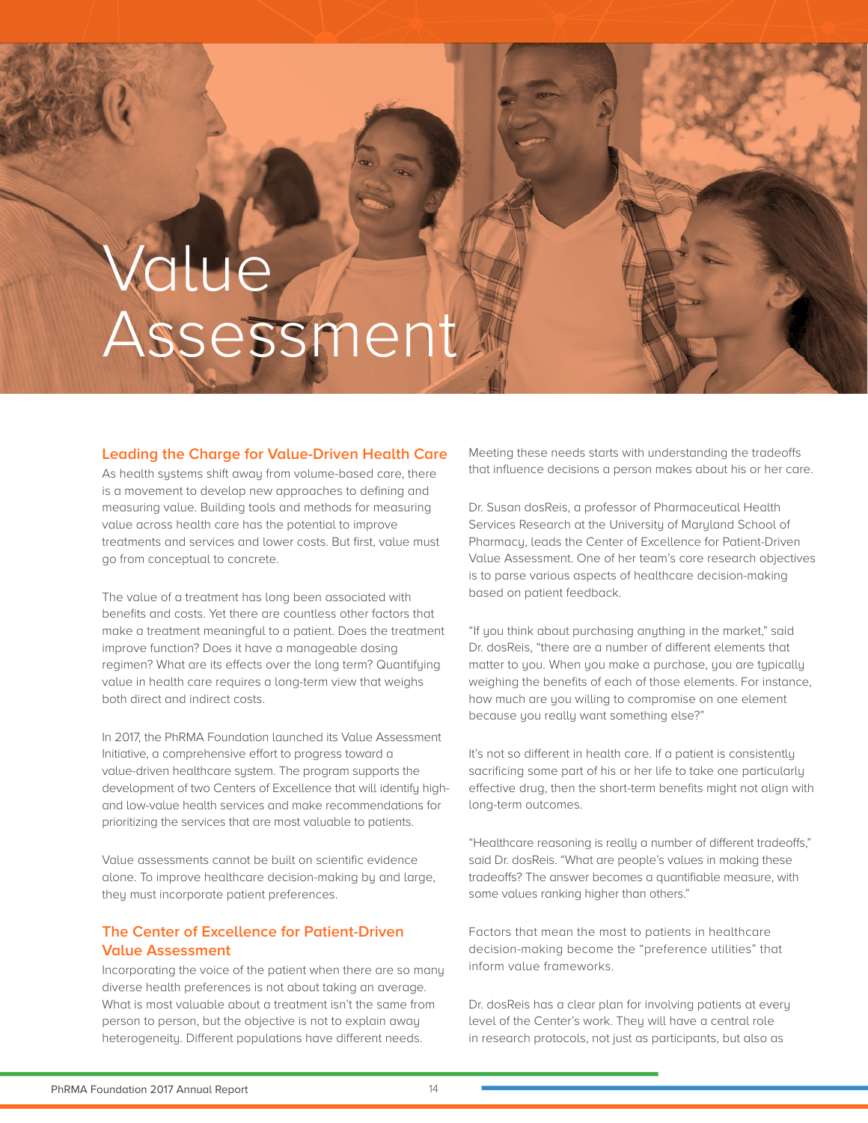## due Assessment

## **Leading the Charge for Value-Driven Health Care**

As health systems shift away from volume-based care, there is a movement to develop new approaches to defining and measuring value. Building tools and methods for measuring value across health care has the potential to improve treatments and services and lower costs. But first, value must go from conceptual to concrete.

The value of a treatment has long been associated with benefits and costs. Yet there are countless other factors that make a treatment meaningful to a patient. Does the treatment improve function? Does it have a manageable dosing regimen? What are its effects over the long term? Quantifying value in health care requires a long-term view that weighs both direct and indirect costs.

In 2017, the PhRMA Foundation launched its Value Assessment Initiative, a comprehensive effort to progress toward a value-driven healthcare system. The program supports the development of two Centers of Excellence that will identify highand low-value health services and make recommendations for prioritizing the services that are most valuable to patients.

Value assessments cannot be built on scientific evidence alone. To improve healthcare decision-making by and large, they must incorporate patient preferences.

## **The Center of Excellence for Patient-Driven Value Assessment**

Incorporating the voice of the patient when there are so many diverse health preferences is not about taking an average. What is most valuable about a treatment isn't the same from person to person, but the objective is not to explain away heterogeneity. Different populations have different needs.

Meeting these needs starts with understanding the tradeoffs that influence decisions a person makes about his or her care.

Dr. Susan dosReis, a professor of Pharmaceutical Health Services Research at the University of Maryland School of Pharmacy, leads the Center of Excellence for Patient-Driven Value Assessment. One of her team's core research objectives is to parse various aspects of healthcare decision-making based on patient feedback.

"If you think about purchasing anything in the market," said Dr. dosReis, "there are a number of different elements that matter to you. When you make a purchase, you are typically weighing the benefits of each of those elements. For instance, how much are you willing to compromise on one element because you really want something else?"

It's not so different in health care. If a patient is consistently sacrificing some part of his or her life to take one particularly effective drug, then the short-term benefits might not align with long-term outcomes.

"Healthcare reasoning is really a number of different tradeoffs," said Dr. dosReis. "What are people's values in making these tradeoffs? The answer becomes a quantifiable measure, with some values ranking higher than others."

Factors that mean the most to patients in healthcare decision-making become the "preference utilities" that inform value frameworks.

Dr. dosReis has a clear plan for involving patients at every level of the Center's work. They will have a central role in research protocols, not just as participants, but also as